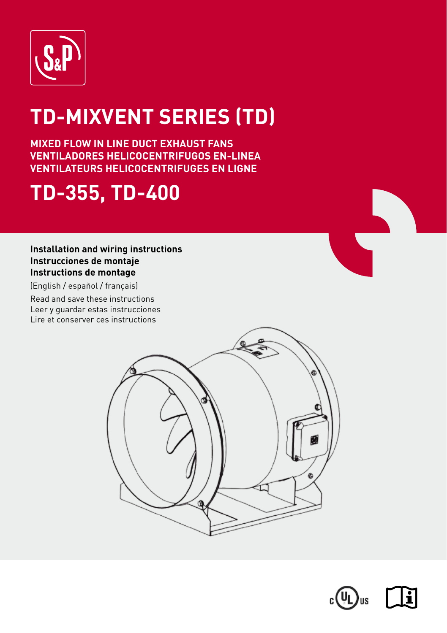

# **TD-MIXVENT SERIES (TD)**

**MIXED FLOW IN LINE DUCT EXHAUST FANS VENTILADORES HELICOCENTRIFUGOS EN-LINEA VENTILATEURS HELICOCENTRIFUGES EN LIGNE**

## **TD-355, TD-400**

## **Installation and wiring instructions Instrucciones de montaje Instructions de montage**

(English / español / français)

Read and save these instructions Leer y guardar estas instrucciones Lire et conserver ces instructions



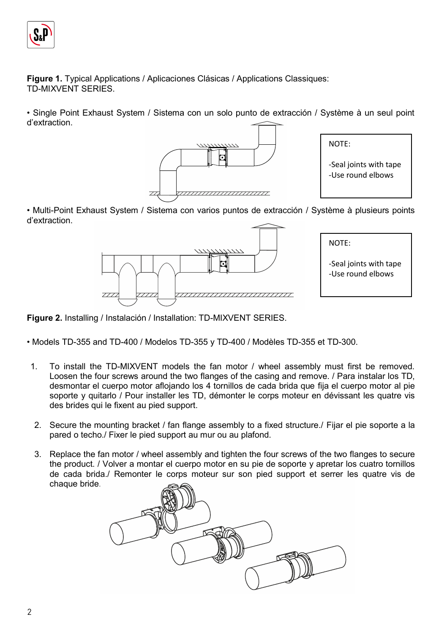

**Figure 1.** Typical Applications / Aplicaciones Clásicas / Applications Classiques: TD-MIXVENT SERIES.

• Single Point Exhaust System / Sistema con un solo punto de extracción / Système à un seul point d'extraction.





• Multi-Point Exhaust System / Sistema con varios puntos de extracción / Système à plusieurs points d'extraction.



**Figure 2.** Installing / Instalación / Installation: TD-MIXVENT SERIES.

• Models TD-355 and TD-400 / Modelos TD-355 y TD-400 / Modèles TD-355 et TD-300.

- 1. To install the TD-MIXVENT models the fan motor / wheel assembly must first be removed. Loosen the four screws around the two flanges of the casing and remove. / Para instalar los TD, desmontar el cuerpo motor aflojando los 4 tornillos de cada brida que fija el cuerpo motor al pie soporte y quitarlo / Pour installer les TD, démonter le corps moteur en dévissant les quatre vis des brides qui le fixent au pied support.
- 2. Secure the mounting bracket / fan flange assembly to a fixed structure./ Fijar el pie soporte a la pared o techo./ Fixer le pied support au mur ou au plafond.
- 3. Replace the fan motor / wheel assembly and tighten the four screws of the two flanges to secure the product. / Volver a montar el cuerpo motor en su pie de soporte y apretar los cuatro tornillos de cada brida./ Remonter le corps moteur sur son pied support et serrer les quatre vis de chaque bride.

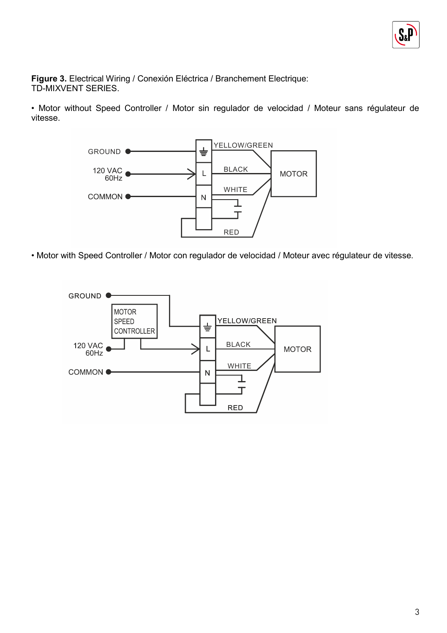

**Figure 3.** Electrical Wiring / Conexión Eléctrica / Branchement Electrique: TD-MIXVENT SERIES.

• Motor without Speed Controller / Motor sin regulador de velocidad / Moteur sans régulateur de vitesse.



• Motor with Speed Controller / Motor con regulador de velocidad / Moteur avec régulateur de vitesse.

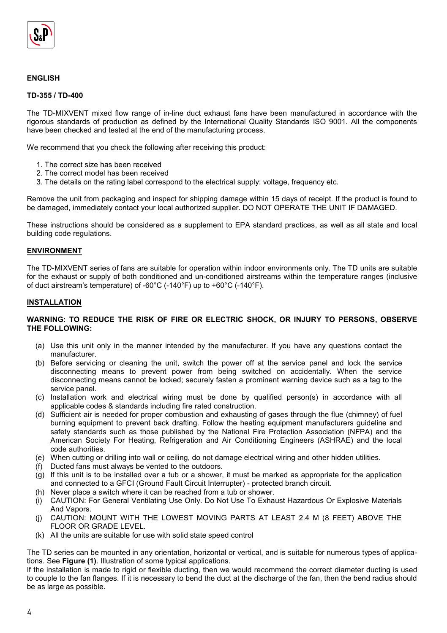

## **ENGLISH**

## **TD-355 / TD-400**

The TD-MIXVENT mixed flow range of in-line duct exhaust fans have been manufactured in accordance with the rigorous standards of production as defined by the International Quality Standards ISO 9001. All the components have been checked and tested at the end of the manufacturing process.

We recommend that you check the following after receiving this product:

- 1. The correct size has been received
- 2. The correct model has been received
- 3. The details on the rating label correspond to the electrical supply: voltage, frequency etc.

Remove the unit from packaging and inspect for shipping damage within 15 days of receipt. If the product is found to be damaged, immediately contact your local authorized supplier. DO NOT OPERATE THE UNIT IF DAMAGED.

These instructions should be considered as a supplement to EPA standard practices, as well as all state and local building code regulations.

#### **ENVIRONMENT**

The TD-MIXVENT series of fans are suitable for operation within indoor environments only. The TD units are suitable for the exhaust or supply of both conditioned and un-conditioned airstreams within the temperature ranges (inclusive of duct airstream's temperature) of -60°C (-140°F) up to +60°C (-140°F).

#### **INSTALLATION**

#### **WARNING: TO REDUCE THE RISK OF FIRE OR ELECTRIC SHOCK, OR INJURY TO PERSONS, OBSERVE THE FOLLOWING:**

- (a) Use this unit only in the manner intended by the manufacturer. If you have any questions contact the manufacturer.
- (b) Before servicing or cleaning the unit, switch the power off at the service panel and lock the service disconnecting means to prevent power from being switched on accidentally. When the service disconnecting means cannot be locked; securely fasten a prominent warning device such as a tag to the service panel.
- (c) Installation work and electrical wiring must be done by qualified person(s) in accordance with all applicable codes & standards including fire rated construction.
- (d) Sufficient air is needed for proper combustion and exhausting of gases through the flue (chimney) of fuel burning equipment to prevent back drafting. Follow the heating equipment manufacturers guideline and safety standards such as those published by the National Fire Protection Association (NFPA) and the American Society For Heating, Refrigeration and Air Conditioning Engineers (ASHRAE) and the local code authorities.
- (e) When cutting or drilling into wall or ceiling, do not damage electrical wiring and other hidden utilities.
- (f) Ducted fans must always be vented to the outdoors.
- (g) If this unit is to be installed over a tub or a shower, it must be marked as appropriate for the application and connected to a GFCI (Ground Fault Circuit Interrupter) - protected branch circuit.
- (h) Never place a switch where it can be reached from a tub or shower.
- (i) CAUTION: For General Ventilating Use Only. Do Not Use To Exhaust Hazardous Or Explosive Materials And Vapors.
- (j) CAUTION: MOUNT WITH THE LOWEST MOVING PARTS AT LEAST 2.4 M (8 FEET) ABOVE THE FLOOR OR GRADE LEVEL.
- (k) All the units are suitable for use with solid state speed control

The TD series can be mounted in any orientation, horizontal or vertical, and is suitable for numerous types of applications. See **Figure (1)**. Illustration of some typical applications.

If the installation is made to rigid or flexible ducting, then we would recommend the correct diameter ducting is used to couple to the fan flanges. If it is necessary to bend the duct at the discharge of the fan, then the bend radius should be as large as possible.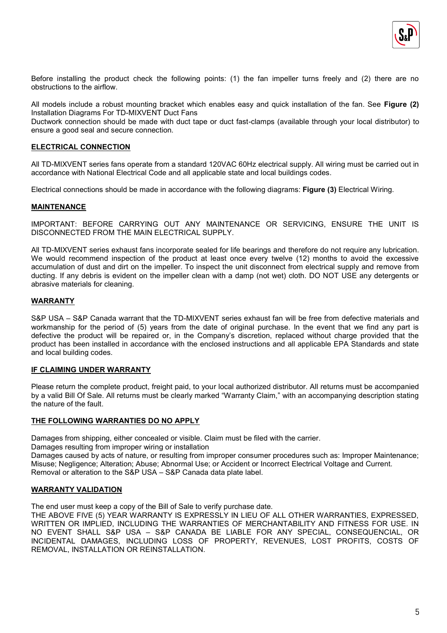

Before installing the product check the following points: (1) the fan impeller turns freely and (2) there are no obstructions to the airflow.

All models include a robust mounting bracket which enables easy and quick installation of the fan. See **Figure (2)**  Installation Diagrams For TD-MIXVENT Duct Fans

Ductwork connection should be made with duct tape or duct fast-clamps (available through your local distributor) to ensure a good seal and secure connection.

## **ELECTRICAL CONNECTION**

All TD-MIXVENT series fans operate from a standard 120VAC 60Hz electrical supply. All wiring must be carried out in accordance with National Electrical Code and all applicable state and local buildings codes.

Electrical connections should be made in accordance with the following diagrams: **Figure (3)** Electrical Wiring.

#### **MAINTENANCE**

IMPORTANT: BEFORE CARRYING OUT ANY MAINTENANCE OR SERVICING, ENSURE THE UNIT IS DISCONNECTED FROM THE MAIN ELECTRICAL SUPPLY.

All TD-MIXVENT series exhaust fans incorporate sealed for life bearings and therefore do not require any lubrication. We would recommend inspection of the product at least once every twelve (12) months to avoid the excessive accumulation of dust and dirt on the impeller. To inspect the unit disconnect from electrical supply and remove from ducting. If any debris is evident on the impeller clean with a damp (not wet) cloth. DO NOT USE any detergents or abrasive materials for cleaning.

#### **WARRANTY**

S&P USA – S&P Canada warrant that the TD-MIXVENT series exhaust fan will be free from defective materials and workmanship for the period of (5) years from the date of original purchase. In the event that we find any part is defective the product will be repaired or, in the Company's discretion, replaced without charge provided that the product has been installed in accordance with the enclosed instructions and all applicable EPA Standards and state and local building codes.

#### **IF CLAIMING UNDER WARRANTY**

Please return the complete product, freight paid, to your local authorized distributor. All returns must be accompanied by a valid Bill Of Sale. All returns must be clearly marked "Warranty Claim," with an accompanying description stating the nature of the fault.

#### **THE FOLLOWING WARRANTIES DO NO APPLY**

Damages from shipping, either concealed or visible. Claim must be filed with the carrier.

Damages resulting from improper wiring or installation

Damages caused by acts of nature, or resulting from improper consumer procedures such as: Improper Maintenance; Misuse; Negligence; Alteration; Abuse; Abnormal Use; or Accident or Incorrect Electrical Voltage and Current. Removal or alteration to the S&P USA – S&P Canada data plate label.

## **WARRANTY VALIDATION**

The end user must keep a copy of the Bill of Sale to verify purchase date.

THE ABOVE FIVE (5) YEAR WARRANTY IS EXPRESSLY IN LIEU OF ALL OTHER WARRANTIES, EXPRESSED, WRITTEN OR IMPLIED, INCLUDING THE WARRANTIES OF MERCHANTABILITY AND FITNESS FOR USE. IN NO EVENT SHALL S&P USA – S&P CANADA BE LIABLE FOR ANY SPECIAL, CONSEQUENCIAL, OR INCIDENTAL DAMAGES, INCLUDING LOSS OF PROPERTY, REVENUES, LOST PROFITS, COSTS OF REMOVAL, INSTALLATION OR REINSTALLATION.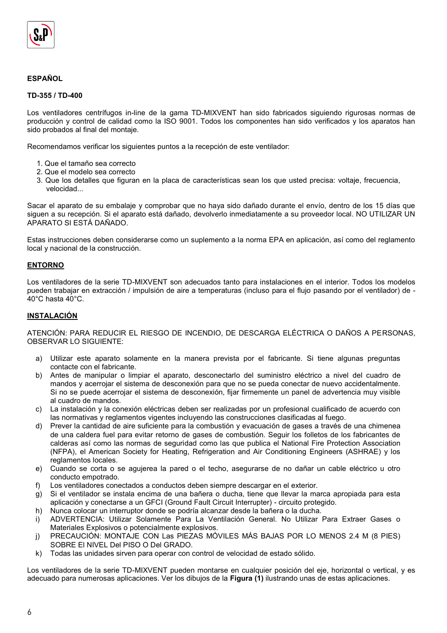

## **ESPAÑOL**

## **TD-355 / TD-400**

Los ventiladores centrífugos in-line de la gama TD-MIXVENT han sido fabricados siguiendo rigurosas normas de producción y control de calidad como la ISO 9001. Todos los componentes han sido verificados y los aparatos han sido probados al final del montaje.

Recomendamos verificar los siguientes puntos a la recepción de este ventilador:

- 1. Que el tamaño sea correcto
- 2. Que el modelo sea correcto
- 3. Que los detalles que figuran en la placa de características sean los que usted precisa: voltaje, frecuencia, velocidad...

Sacar el aparato de su embalaje y comprobar que no haya sido dañado durante el envío, dentro de los 15 días que siguen a su recepción. Si el aparato está dañado, devolverlo inmediatamente a su proveedor local. NO UTILIZAR UN APARATO SI ESTÁ DAÑADO.

Estas instrucciones deben considerarse como un suplemento a la norma EPA en aplicación, así como del reglamento local y nacional de la construcción.

#### **ENTORNO**

Los ventiladores de la serie TD-MIXVENT son adecuados tanto para instalaciones en el interior. Todos los modelos pueden trabajar en extracción / impulsión de aire a temperaturas (incluso para el flujo pasando por el ventilador) de - 40°C hasta 40°C.

#### **INSTALACIÓN**

ATENCIÓN: PARA REDUCIR EL RIESGO DE INCENDIO, DE DESCARGA ELÉCTRICA O DAÑOS A PERSONAS, OBSERVAR LO SIGUIENTE:

- a) Utilizar este aparato solamente en la manera prevista por el fabricante. Si tiene algunas preguntas contacte con el fabricante.
- b) Antes de manipular o limpiar el aparato, desconectarlo del suministro eléctrico a nivel del cuadro de mandos y acerrojar el sistema de desconexión para que no se pueda conectar de nuevo accidentalmente. Si no se puede acerrojar el sistema de desconexión, fijar firmemente un panel de advertencia muy visible al cuadro de mandos.
- c) La instalación y la conexión eléctricas deben ser realizadas por un profesional cualificado de acuerdo con las normativas y reglamentos vigentes incluyendo las construcciones clasificadas al fuego.
- d) Prever la cantidad de aire suficiente para la combustión y evacuación de gases a través de una chimenea de una caldera fuel para evitar retorno de gases de combustión. Seguir los folletos de los fabricantes de calderas así como las normas de seguridad como las que publica el National Fire Protection Association (NFPA), el American Society for Heating, Refrigeration and Air Conditioning Engineers (ASHRAE) y los reglamentos locales.
- e) Cuando se corta o se agujerea la pared o el techo, asegurarse de no dañar un cable eléctrico u otro conducto empotrado.
- f) Los ventiladores conectados a conductos deben siempre descargar en el exterior.
- g) Si el ventilador se instala encima de una bañera o ducha, tiene que llevar la marca apropiada para esta aplicación y conectarse a un GFCI (Ground Fault Circuit Interrupter) - circuito protegido.
- h) Nunca colocar un interruptor donde se podría alcanzar desde la bañera o la ducha.
- i) ADVERTENCIA: Utilizar Solamente Para La Ventilación General. No Utilizar Para Extraer Gases o Materiales Explosivos o potencialmente explosivos.
- j) PRECAUCIÓN: MONTAJE CON Las PIEZAS MÓVILES MÁS BAJAS POR LO MENOS 2.4 M (8 PIES) SOBRE El NIVEL Del PISO O Del GRADO.
- k) Todas las unidades sirven para operar con control de velocidad de estado sólido.

Los ventiladores de la serie TD-MIXVENT pueden montarse en cualquier posición del eje, horizontal o vertical, y es adecuado para numerosas aplicaciones. Ver los dibujos de la **Figura (1)** ilustrando unas de estas aplicaciones.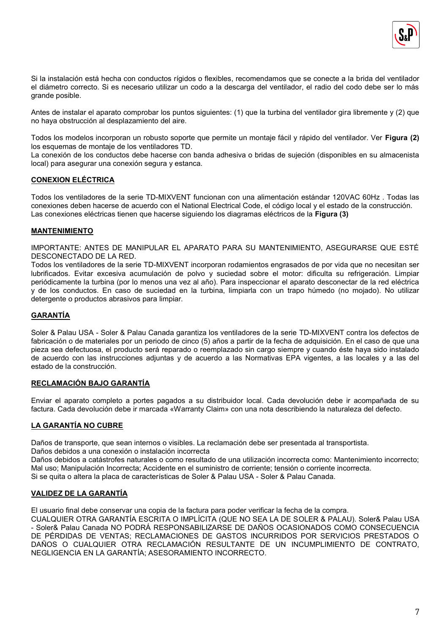

Si la instalación está hecha con conductos rígidos o flexibles, recomendamos que se conecte a la brida del ventilador el diámetro correcto. Si es necesario utilizar un codo a la descarga del ventilador, el radio del codo debe ser lo más grande posible.

Antes de instalar el aparato comprobar los puntos siguientes: (1) que la turbina del ventilador gira libremente y (2) que no haya obstrucción al desplazamiento del aire.

Todos los modelos incorporan un robusto soporte que permite un montaje fácil y rápido del ventilador. Ver **Figura (2)**  los esquemas de montaje de los ventiladores TD.

La conexión de los conductos debe hacerse con banda adhesiva o bridas de sujeción (disponibles en su almacenista local) para asegurar una conexión segura y estanca.

## **CONEXION ELÉCTRICA**

Todos los ventiladores de la serie TD-MIXVENT funcionan con una alimentación estándar 120VAC 60Hz . Todas las conexiones deben hacerse de acuerdo con el National Electrical Code, el código local y el estado de la construcción. Las conexiones eléctricas tienen que hacerse siguiendo los diagramas eléctricos de la **Figura (3)**

## **MANTENIMIENTO**

IMPORTANTE: ANTES DE MANIPULAR EL APARATO PARA SU MANTENIMIENTO, ASEGURARSE QUE ESTÉ DESCONECTADO DE LA RED.

Todos los ventiladores de la serie TD-MIXVENT incorporan rodamientos engrasados de por vida que no necesitan ser lubrificados. Evitar excesiva acumulación de polvo y suciedad sobre el motor: dificulta su refrigeración. Limpiar periódicamente la turbina (por lo menos una vez al año). Para inspeccionar el aparato desconectar de la red eléctrica y de los conductos. En caso de suciedad en la turbina, limpiarla con un trapo húmedo (no mojado). No utilizar detergente o productos abrasivos para limpiar.

## **GARANTÍA**

Soler & Palau USA - Soler & Palau Canada garantiza los ventiladores de la serie TD-MIXVENT contra los defectos de fabricación o de materiales por un periodo de cinco (5) años a partir de la fecha de adquisición. En el caso de que una pieza sea defectuosa, el producto será reparado o reemplazado sin cargo siempre y cuando éste haya sido instalado de acuerdo con las instrucciones adjuntas y de acuerdo a las Normativas EPA vigentes, a las locales y a las del estado de la construcción.

## **RECLAMACIÓN BAJO GARANTÍA**

Enviar el aparato completo a portes pagados a su distribuidor local. Cada devolución debe ir acompañada de su factura. Cada devolución debe ir marcada «Warranty Claim» con una nota describiendo la naturaleza del defecto.

## **LA GARANTÍA NO CUBRE**

Daños de transporte, que sean internos o visibles. La reclamación debe ser presentada al transportista.

Daños debidos a una conexión o instalación incorrecta

Daños debidos a catástrofes naturales o como resultado de una utilización incorrecta como: Mantenimiento incorrecto; Mal uso; Manipulación Incorrecta; Accidente en el suministro de corriente; tensión o corriente incorrecta. Si se quita o altera la placa de características de Soler & Palau USA - Soler & Palau Canada.

## **VALIDEZ DE LA GARANTÍA**

El usuario final debe conservar una copia de la factura para poder verificar la fecha de la compra.

CUALQUIER OTRA GARANTÍA ESCRITA O IMPLÍCITA (QUE NO SEA LA DE SOLER & PALAU). Soler& Palau USA - Soler& Palau Canada NO PODRÁ RESPONSABILIZARSE DE DAÑOS OCASIONADOS COMO CONSECUENCIA DE PÉRDIDAS DE VENTAS; RECLAMACIONES DE GASTOS INCURRIDOS POR SERVICIOS PRESTADOS O DAÑOS O CUALQUIER OTRA RECLAMACIÓN RESULTANTE DE UN INCUMPLIMIENTO DE CONTRATO, NEGLIGENCIA EN LA GARANTÍA; ASESORAMIENTO INCORRECTO.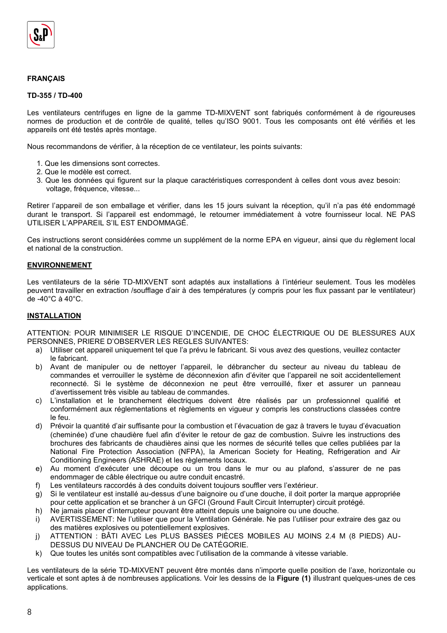

## **FRANÇAIS**

#### **TD-355 / TD-400**

Les ventilateurs centrifuges en ligne de la gamme TD-MIXVENT sont fabriqués conformément à de rigoureuses normes de production et de contrôle de qualité, telles qu'ISO 9001. Tous les composants ont été vérifiés et les appareils ont été testés après montage.

Nous recommandons de vérifier, à la réception de ce ventilateur, les points suivants:

- 1. Que les dimensions sont correctes.
- 2. Que le modèle est correct.
- 3. Que les données qui figurent sur la plaque caractéristiques correspondent à celles dont vous avez besoin: voltage, fréquence, vitesse...

Retirer l'appareil de son emballage et vérifier, dans les 15 jours suivant la réception, qu'il n'a pas été endommagé durant le transport. Si l'appareil est endommagé, le retourner immédiatement à votre fournisseur local. NE PAS UTILISER L'APPAREIL S'IL EST ENDOMMAGÉ.

Ces instructions seront considérées comme un supplément de la norme EPA en vigueur, ainsi que du règlement local et national de la construction.

#### **ENVIRONNEMENT**

Les ventilateurs de la série TD-MIXVENT sont adaptés aux installations à l'intérieur seulement. Tous les modèles peuvent travailler en extraction /soufflage d'air à des températures (y compris pour les flux passant par le ventilateur) de -40°C à 40°C.

#### **INSTALLATION**

ATTENTION: POUR MINIMISER LE RISQUE D'INCENDIE, DE CHOC ÉLECTRIQUE OU DE BLESSURES AUX PERSONNES, PRIERE D'OBSERVER LES REGLES SUIVANTES:

- a) Utiliser cet appareil uniquement tel que l'a prévu le fabricant. Si vous avez des questions, veuillez contacter le fabricant.
- b) Avant de manipuler ou de nettoyer l'appareil, le débrancher du secteur au niveau du tableau de commandes et verrouiller le système de déconnexion afin d'éviter que l'appareil ne soit accidentellement reconnecté. Si le système de déconnexion ne peut être verrouillé, fixer et assurer un panneau d'avertissement très visible au tableau de commandes.
- c) L'installation et le branchement électriques doivent être réalisés par un professionnel qualifié et conformément aux réglementations et règlements en vigueur y compris les constructions classées contre le feu.
- d) Prévoir la quantité d'air suffisante pour la combustion et l'évacuation de gaz à travers le tuyau d'évacuation (cheminée) d'une chaudière fuel afin d'éviter le retour de gaz de combustion. Suivre les instructions des brochures des fabricants de chaudières ainsi que les normes de sécurité telles que celles publiées par la National Fire Protection Association (NFPA), la American Society for Heating, Refrigeration and Air Conditioning Engineers (ASHRAE) et les règlements locaux.
- e) Au moment d'exécuter une découpe ou un trou dans le mur ou au plafond, s'assurer de ne pas endommager de câble électrique ou autre conduit encastré.
- f) Les ventilateurs raccordés à des conduits doivent toujours souffler vers l'extérieur.
- g) Si le ventilateur est installé au-dessus d'une baignoire ou d'une douche, il doit porter la marque appropriée pour cette application et se brancher à un GFCI (Ground Fault Circuit Interrupter) circuit protégé.
- h) Ne jamais placer d'interrupteur pouvant être atteint depuis une baignoire ou une douche.
- i) AVERTISSEMENT: Ne l'utiliser que pour la Ventilation Générale. Ne pas l'utiliser pour extraire des gaz ou des matières explosives ou potentiellement explosives.
- j) ATTENTION : BÂTI AVEC Les PLUS BASSES PIÈCES MOBILES AU MOINS 2.4 M (8 PIEDS) AU-DESSUS DU NIVEAU De PLANCHER OU De CATÉGORIE.
- k) Que toutes les unités sont compatibles avec l'utilisation de la commande à vitesse variable.

Les ventilateurs de la série TD-MIXVENT peuvent être montés dans n'importe quelle position de l'axe, horizontale ou verticale et sont aptes à de nombreuses applications. Voir les dessins de la **Figure (1)** illustrant quelques-unes de ces applications.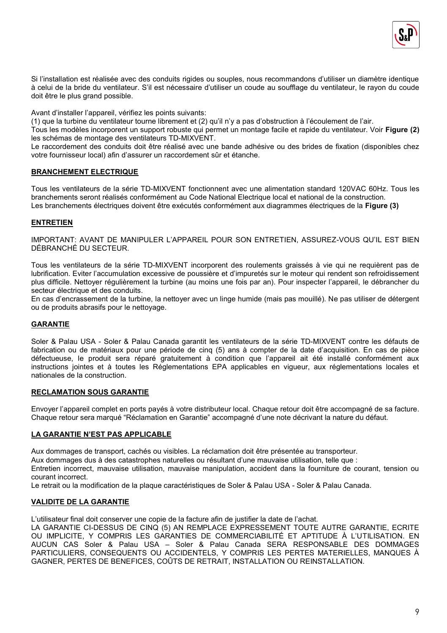

Si l'installation est réalisée avec des conduits rigides ou souples, nous recommandons d'utiliser un diamètre identique à celui de la bride du ventilateur. S'il est nécessaire d'utiliser un coude au soufflage du ventilateur, le rayon du coude doit être le plus grand possible.

Avant d'installer l'appareil, vérifiez les points suivants:

(1) que la turbine du ventilateur tourne librement et (2) qu'il n'y a pas d'obstruction à l'écoulement de l'air.

Tous les modèles incorporent un support robuste qui permet un montage facile et rapide du ventilateur. Voir **Figure (2)**  les schémas de montage des ventilateurs TD-MIXVENT.

Le raccordement des conduits doit être réalisé avec une bande adhésive ou des brides de fixation (disponibles chez votre fournisseur local) afin d'assurer un raccordement sûr et étanche.

## **BRANCHEMENT ELECTRIQUE**

Tous les ventilateurs de la série TD-MIXVENT fonctionnent avec une alimentation standard 120VAC 60Hz. Tous les branchements seront réalisés conformément au Code National Electrique local et national de la construction. Les branchements électriques doivent être exécutés conformément aux diagrammes électriques de la **Figure (3)**

## **ENTRETIEN**

IMPORTANT: AVANT DE MANIPULER L'APPAREIL POUR SON ENTRETIEN, ASSUREZ-VOUS QU'IL EST BIEN DÉBRANCHÉ DU SECTEUR.

Tous les ventilateurs de la série TD-MIXVENT incorporent des roulements graissés à vie qui ne requièrent pas de lubrification. Eviter l'accumulation excessive de poussière et d'impuretés sur le moteur qui rendent son refroidissement plus difficile. Nettoyer régulièrement la turbine (au moins une fois par an). Pour inspecter l'appareil, le débrancher du secteur électrique et des conduits.

En cas d'encrassement de la turbine, la nettoyer avec un linge humide (mais pas mouillé). Ne pas utiliser de détergent ou de produits abrasifs pour le nettoyage.

## **GARANTIE**

Soler & Palau USA - Soler & Palau Canada garantit les ventilateurs de la série TD-MIXVENT contre les défauts de fabrication ou de matériaux pour une période de cinq (5) ans à compter de la date d'acquisition. En cas de pièce défectueuse, le produit sera réparé gratuitement à condition que l'appareil ait été installé conformément aux instructions jointes et à toutes les Réglementations EPA applicables en vigueur, aux réglementations locales et nationales de la construction.

## **RECLAMATION SOUS GARANTIE**

Envoyer l'appareil complet en ports payés à votre distributeur local. Chaque retour doit être accompagné de sa facture. Chaque retour sera marqué "Réclamation en Garantie" accompagné d'une note décrivant la nature du défaut.

## **LA GARANTIE N'EST PAS APPLICABLE**

Aux dommages de transport, cachés ou visibles. La réclamation doit être présentée au transporteur. Aux dommages dus à des catastrophes naturelles ou résultant d'une mauvaise utilisation, telle que : Entretien incorrect, mauvaise utilisation, mauvaise manipulation, accident dans la fourniture de courant, tension ou courant incorrect.

Le retrait ou la modification de la plaque caractéristiques de Soler & Palau USA - Soler & Palau Canada.

## **VALIDITE DE LA GARANTIE**

L'utilisateur final doit conserver une copie de la facture afin de justifier la date de l'achat.

LA GARANTIE CI-DESSUS DE CINQ (5) AN REMPLACE EXPRESSEMENT TOUTE AUTRE GARANTIE, ECRITE OU IMPLICITE, Y COMPRIS LES GARANTIES DE COMMERCIABILITÉ ET APTITUDE À L'UTILISATION. EN AUCUN CAS Soler & Palau USA – Soler & Palau Canada SERA RESPONSABLE DES DOMMAGES PARTICULIERS, CONSEQUENTS OU ACCIDENTELS, Y COMPRIS LES PERTES MATERIELLES, MANQUES À GAGNER, PERTES DE BENEFICES, COÛTS DE RETRAIT, INSTALLATION OU REINSTALLATION.